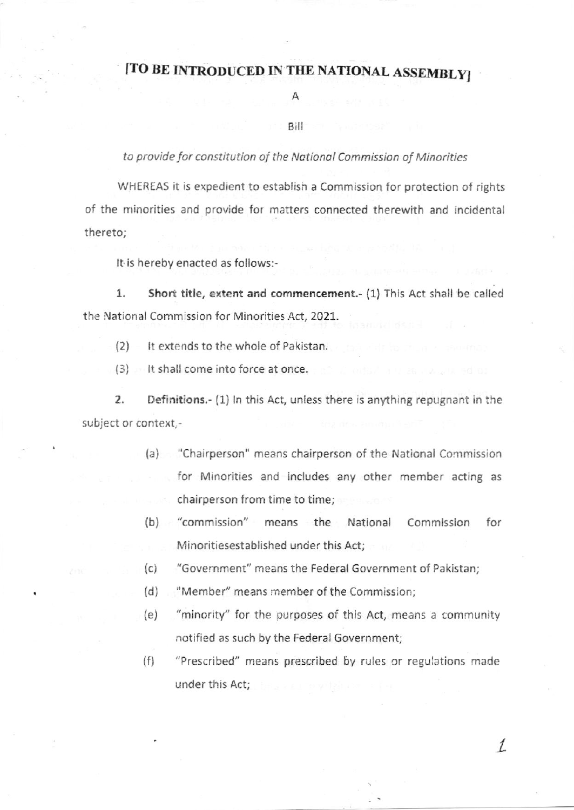## [TO BE INTRODUCED IN THE NATIONAL ASSEMBLY]

## Α

## Bill

## to provide for constitution of the National Commission of Minorities

WHEREAS it is expedient to establish a Commission for protection of rights of the minorities and provide for matters connected therewith and incidental thereto;

It is hereby enacted as follows:-

1. Short title, extent and commencement.- (1) This Act shall be called the National Commission for Minorities Act, 2021.

(2) It extends to the whole of Pakistan.

(3) It shall come into force at once.

2. Definitions.- (1) In this Act, unless there is anything repugnant in the subject or context,-

- (a) "Chairperson" means chairperson of the National Commission for Minorities and includes any other member acting as chairperson from time to time;
- (b) "commission" means the National Commission for Minoritiesestablished under this Act:
- (c) "Government" means the Federal Government of Pakistan;
- (d) "Member" means member of the Commiss:on;
- {e) "minority" for the purposes of this Act, means a community notified as such by the Federal Government;
- (f) "Prescribed" means prescribed by rules or regulations made under this Act;

I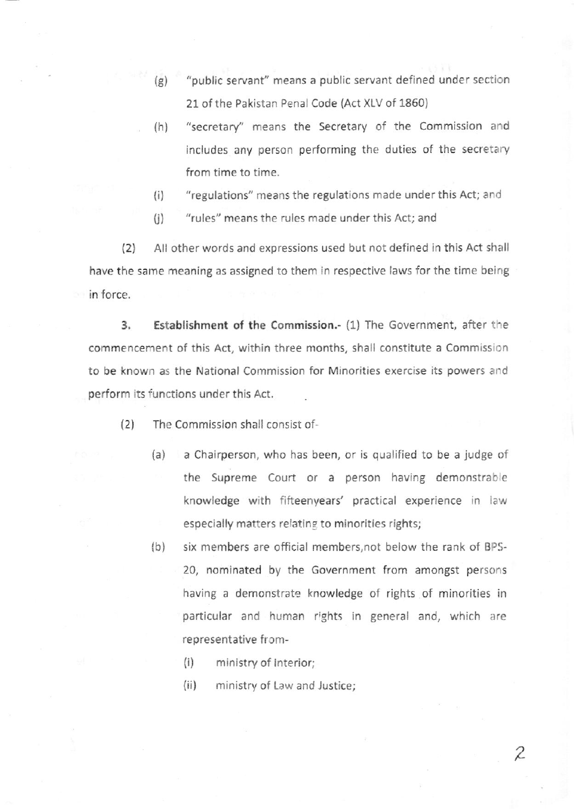- (g) "public servant" means a public servant defined under section 21 of the Pakistan Penal Code (Act XLV of 1860)
- (h) "secretary" means the Secretary of the Commission and includes any person performing the duties of the secretary from time to time.
- {i) "regulations" means the regulations made under this Act; and
- (i) "rules" means the rules made under this Act; and

l2l All other words and expressions used but not defined in this Act shall have the same meaning as assigned to them in respective laws for the time being in force.

3. Establishment of the commission.- (1) The Government, after the commencement of this Act, within three months, shall constitute a Commission to be known as the National Commission for Minorities exercise its powers and perform its functions under this Act.

- (2) The commission shall consist of-
	- (a) <sup>a</sup>Chairperson, who has been, or is qualified to be a judge of the Supreme Court or a person having demonstrable knowledge with fifteenyears' practical experience in law especially matters relating to minorities rights;
	- (b) six members are official members,not below the rank of BPS-20, nominated by the Government from amongst persons having a demonstrate knowledge of rights of minorities in particular and human rights in general and, which are representative from-
		- (i) ministry of lnterior;
		- (ii) ministry of Law and Justice;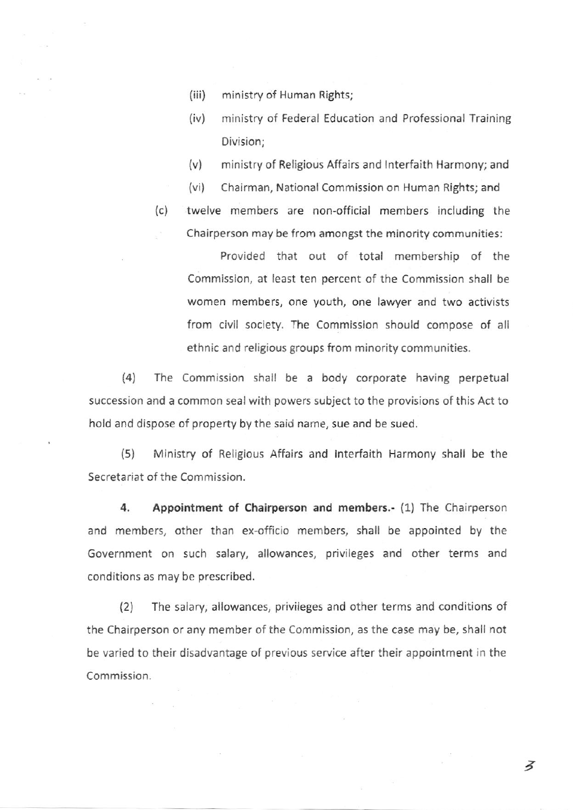- (iii) ministry of Human Rights;
- (iv) ministry of Federal Education and Professional Training Division;
- (v) ministry of Religious Affairs and lnterfaith Harmony; and
- (vi) Chairman, National Commission on Human Rights; and
- (c) twelve members are non-official members including the Chairperson may be from amongst the minority communities:

. Provided that out of total membership of the Commission, at least ten percent of the Commission shall be women members, one youth, one lawyer and two activists from civil society. The Commission should compose of all ethnic and religious groups from minority communities.

(4) The Commission shall be a body corporate having perpetual succession and a common seal with powers subject to the provisions of this Act to hold and dispose of property by the said name, sue and be sued.

(5) Ministry of Religious Affairs and lnterfaith Harmony shall be the Secretariat of the Commission.

4. Appointment of chairperson and members.- (1) The Chairperson and members, other than ex-officio members, shall be appointed by the Government on such salary, allowances, privileges and other terms and conditions as may be prescribed,

(21 The salary, allowances, privileges and other terms and conditions of the Chairperson or any member of the Commission, as the case may be, shall not be varied to their disadvantage of previous service after their appointment in the Commission.

a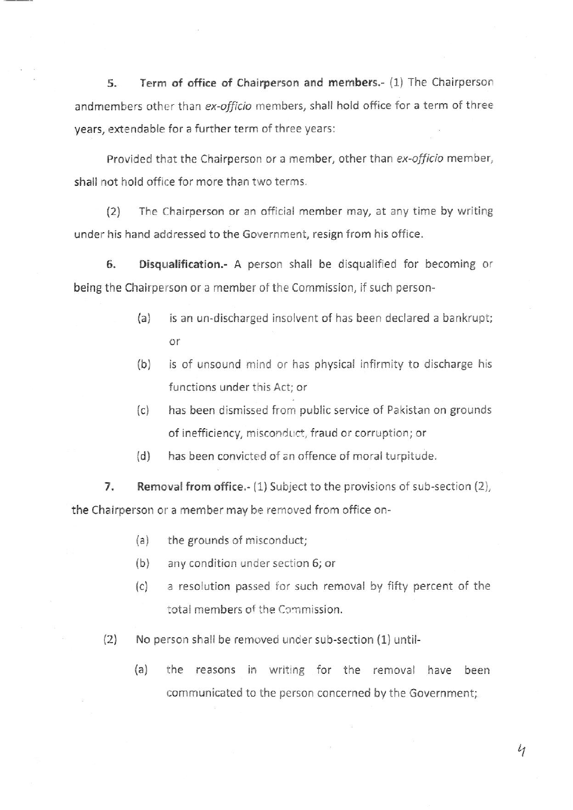5. Term of office of chairperson and members.- (1) The Chairperson andmembers other than ex-officio members, shall hold office for a term of three years, extendable for a further term of three years:

Provided that the Chairperson or a member, other than ex-officio member, shall not hold office for more than two terms.

(2) The Chairperson or an official member may, at any time by writing under his hand addressed to the Government, resign from his office.

6. Disqualification.- A person shall be disqualified for becoming or being the Chairperson or a member of the Commission, if such person-

- (a) is an un-discharged insolvent of has been declared a bankrupt; or
- (b) is of unsound mind or has physical infirmity to discharge his functions under this Act; or
- (c) has been dismissed from public service of Pakistan on grounds of inefficiency, misconduct, fraud or corruption; or
- (d) has been convicted of an offence of moral turpitude.

7. Removal from office.- (1) Subject to the provisions of sub-section (2), the Chairperson or a member may be removed from office on-

- (a) the grounds of misconduct;
- $(b)$  any condition under section 6; or
- (c) <sup>a</sup>resolution passed for such removal by fifty percent of the total members of the Commission.
- (2) No person shall be removed under sub-section (1) until-
	- (a) the reasons in writing for the removal have been communicated to the person concerned by the Government;

 $\iota_1$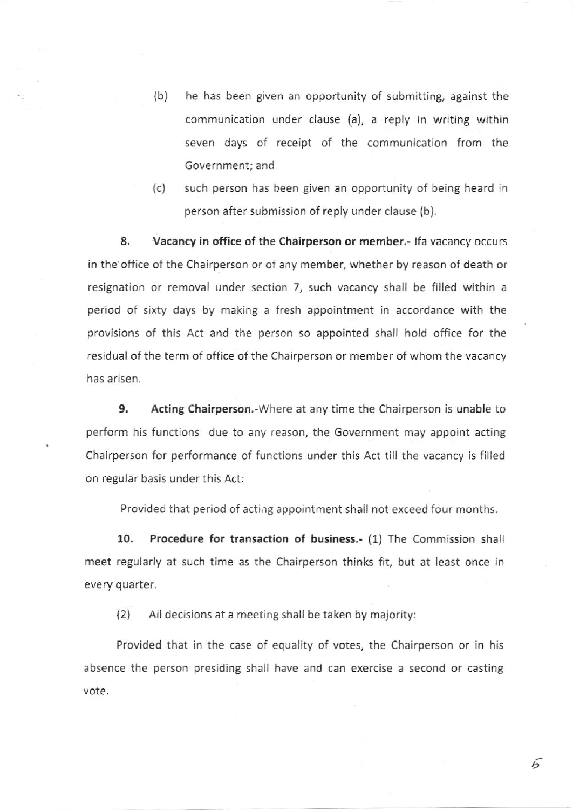- (b) he has been given an opportunity of submitting, against the communication under clause (a), a reply in writing within seven days of receipt of the communication from the Government; and
- (c) such person has been given an opportunity of being heard in person after submission of reply under clause (b).

8. Vacancy in office of the Chairperson or member.- If a vacancy occurs in the office of the Chairperson or of any member, whether by reason of death or resignation or removal under section 7, such vacancy shall be filled within a period of sixty days by making a fresh appointment in accordance with the provisions of this Act and the perscn so appointed shall hold office for the residual of the term of office of the Chairperson or member of whom the vacancy has arisen.

9. Acting Chairperson,-Where at any time the Chairperson is unable to perform his functions due to any reason, the Government may appoint acting Chairperson for performance of functions under this Act till the vacancy is filled on regular basis under this Act:

Provided that period of acting appointment shall not exceed four months.

10. Procedure for transaction of business.- (1) The Commission shall meet regularly at such time as the Chairperson thinks fit, but at least once in every quarter.

 $\vert$  2) All decisions at a meeting shall be taken by majority:

Provided that in the case of equality of votes, the Chairperson or in his absence the person presiding shall have and can exercise a second or casting vote.

 $\mathcal{L}$